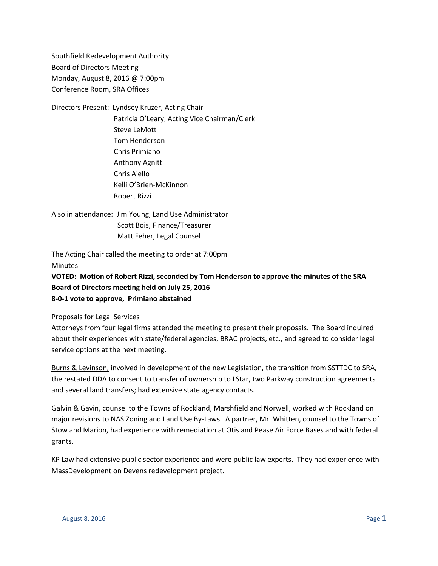Southfield Redevelopment Authority Board of Directors Meeting Monday, August 8, 2016 @ 7:00pm Conference Room, SRA Offices

Directors Present: Lyndsey Kruzer, Acting Chair Patricia O'Leary, Acting Vice Chairman/Clerk Steve LeMott Tom Henderson Chris Primiano Anthony Agnitti Chris Aiello Kelli O'Brien-McKinnon Robert Rizzi

Also in attendance: Jim Young, Land Use Administrator Scott Bois, Finance/Treasurer Matt Feher, Legal Counsel

The Acting Chair called the meeting to order at 7:00pm **Minutes** 

**VOTED: Motion of Robert Rizzi, seconded by Tom Henderson to approve the minutes of the SRA Board of Directors meeting held on July 25, 2016 8-0-1 vote to approve, Primiano abstained**

Proposals for Legal Services

Attorneys from four legal firms attended the meeting to present their proposals. The Board inquired about their experiences with state/federal agencies, BRAC projects, etc., and agreed to consider legal service options at the next meeting.

Burns & Levinson, involved in development of the new Legislation, the transition from SSTTDC to SRA, the restated DDA to consent to transfer of ownership to LStar, two Parkway construction agreements and several land transfers; had extensive state agency contacts.

Galvin & Gavin, counsel to the Towns of Rockland, Marshfield and Norwell, worked with Rockland on major revisions to NAS Zoning and Land Use By-Laws. A partner, Mr. Whitten, counsel to the Towns of Stow and Marion, had experience with remediation at Otis and Pease Air Force Bases and with federal grants.

KP Law had extensive public sector experience and were public law experts. They had experience with MassDevelopment on Devens redevelopment project.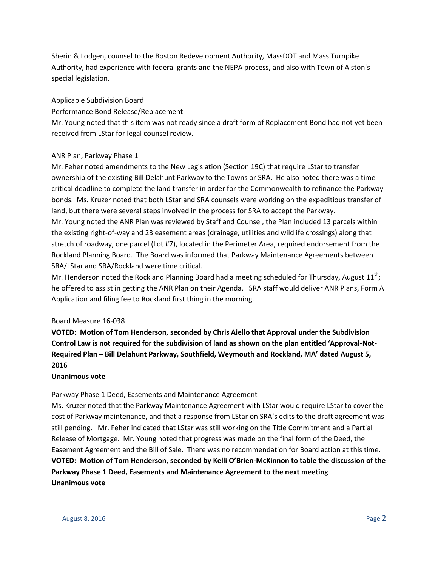Sherin & Lodgen, counsel to the Boston Redevelopment Authority, MassDOT and Mass Turnpike Authority, had experience with federal grants and the NEPA process, and also with Town of Alston's special legislation.

## Applicable Subdivision Board

Performance Bond Release/Replacement

Mr. Young noted that this item was not ready since a draft form of Replacement Bond had not yet been received from LStar for legal counsel review.

## ANR Plan, Parkway Phase 1

Mr. Feher noted amendments to the New Legislation (Section 19C) that require LStar to transfer ownership of the existing Bill Delahunt Parkway to the Towns or SRA. He also noted there was a time critical deadline to complete the land transfer in order for the Commonwealth to refinance the Parkway bonds. Ms. Kruzer noted that both LStar and SRA counsels were working on the expeditious transfer of land, but there were several steps involved in the process for SRA to accept the Parkway. Mr. Young noted the ANR Plan was reviewed by Staff and Counsel, the Plan included 13 parcels within the existing right-of-way and 23 easement areas (drainage, utilities and wildlife crossings) along that stretch of roadway, one parcel (Lot #7), located in the Perimeter Area, required endorsement from the Rockland Planning Board. The Board was informed that Parkway Maintenance Agreements between SRA/LStar and SRA/Rockland were time critical.

Mr. Henderson noted the Rockland Planning Board had a meeting scheduled for Thursday, August 11<sup>th</sup>; he offered to assist in getting the ANR Plan on their Agenda. SRA staff would deliver ANR Plans, Form A Application and filing fee to Rockland first thing in the morning.

## Board Measure 16-038

**VOTED: Motion of Tom Henderson, seconded by Chris Aiello that Approval under the Subdivision Control Law is not required for the subdivision of land as shown on the plan entitled 'Approval-Not-Required Plan – Bill Delahunt Parkway, Southfield, Weymouth and Rockland, MA' dated August 5, 2016**

## **Unanimous vote**

Parkway Phase 1 Deed, Easements and Maintenance Agreement

Ms. Kruzer noted that the Parkway Maintenance Agreement with LStar would require LStar to cover the cost of Parkway maintenance, and that a response from LStar on SRA's edits to the draft agreement was still pending. Mr. Feher indicated that LStar was still working on the Title Commitment and a Partial Release of Mortgage. Mr. Young noted that progress was made on the final form of the Deed, the Easement Agreement and the Bill of Sale. There was no recommendation for Board action at this time. **VOTED: Motion of Tom Henderson, seconded by Kelli O'Brien-McKinnon to table the discussion of the Parkway Phase 1 Deed, Easements and Maintenance Agreement to the next meeting Unanimous vote**